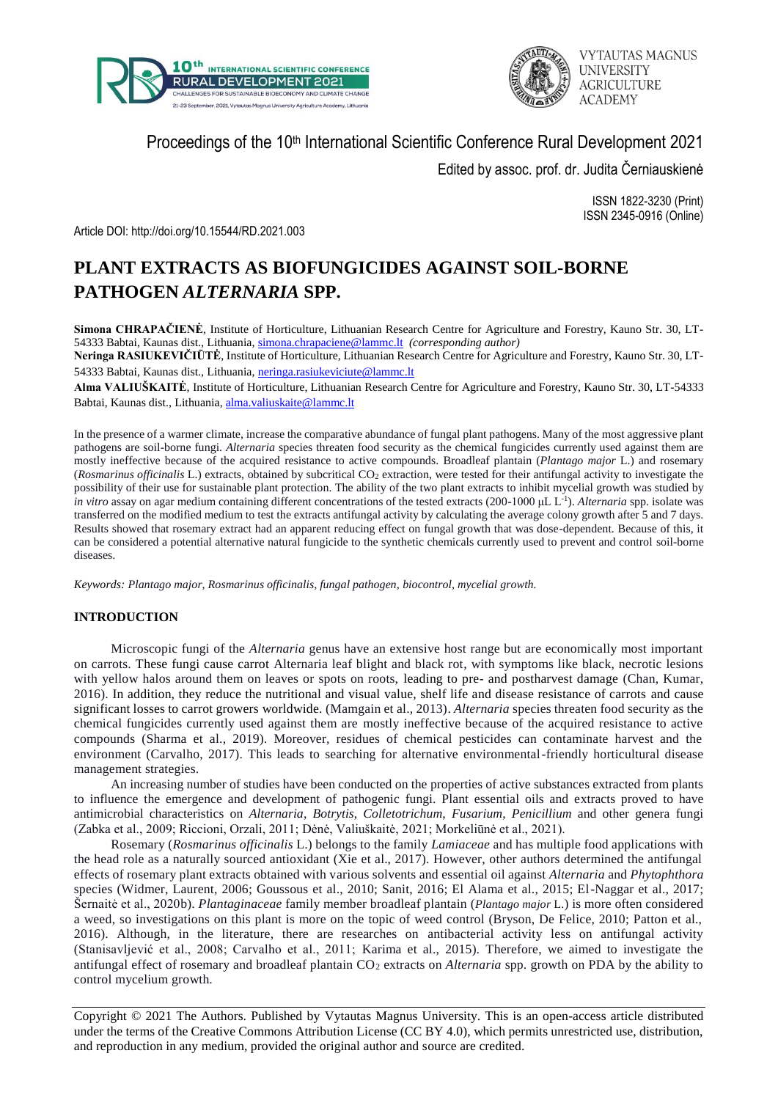



Proceedings of the 10<sup>th</sup> International Scientific Conference Rural Development 2021

Edited by assoc. prof. dr. Judita Černiauskienė

ISSN 1822-3230 (Print) ISSN 2345-0916 (Online)

Article DOI: http://doi.org/10.15544/RD.2021.003

# **PLANT EXTRACTS AS BIOFUNGICIDES AGAINST SOIL-BORNE PATHOGEN** *ALTERNARIA* **SPP.**

**Simona CHRAPAČIENĖ**, Institute of Horticulture, Lithuanian Research Centre for Agriculture and Forestry, Kauno Str. 30, LT-54333 Babtai, Kaunas dist., Lithuania, [simona.chrapaciene@lammc.lt](mailto:simona.chrapaciene@lammc.lt) *(corresponding author)*

**Neringa RASIUKEVIČIŪTĖ**, Institute of Horticulture, Lithuanian Research Centre for Agriculture and Forestry, Kauno Str. 30, LT54333 Babtai, Kaunas dist., Lithuania, [neringa.rasiukeviciute@lammc.lt](mailto:neringa.rasiukeviciute@lammc.lt)

**Alma VALIUŠKAITĖ**, Institute of Horticulture, Lithuanian Research Centre for Agriculture and Forestry, Kauno Str. 30, LT-54333 Babtai, Kaunas dist., Lithuania[, alma.valiuskaite@lammc.lt](mailto:alma.valiuskaite@lammc.lt)

In the presence of a warmer climate, increase the comparative abundance of fungal plant pathogens. Many of the most aggressive plant pathogens are soil-borne fungi. *Alternaria* species threaten food security as the chemical fungicides currently used against them are mostly ineffective because of the acquired resistance to active compounds. Broadleaf plantain (*Plantago major* L.) and rosemary (*Rosmarinus officinalis* L.) extracts, obtained by subcritical CO<sub>2</sub> extraction, were tested for their antifungal activity to investigate the possibility of their use for sustainable plant protection. The ability of the two plant extracts to inhibit mycelial growth was studied by *in vitro* assay on agar medium containing different concentrations of the tested extracts (200-1000 μL L<sup>-1</sup>). *Alternaria* spp. isolate was transferred on the modified medium to test the extracts antifungal activity by calculating the average colony growth after 5 and 7 days. Results showed that rosemary extract had an apparent reducing effect on fungal growth that was dose-dependent. Because of this, it can be considered a potential alternative natural fungicide to the synthetic chemicals currently used to prevent and control soil-borne diseases.

*Keywords: Plantago major, Rosmarinus officinalis, fungal pathogen, biocontrol, mycelial growth.*

# **INTRODUCTION**

Microscopic fungi of the *Alternaria* genus have an extensive host range but are economically most important on carrots. These fungi cause carrot Alternaria leaf blight and black rot, with symptoms like black, necrotic lesions with yellow halos around them on leaves or spots on roots, leading to pre- and postharvest damage (Chan, Kumar, 2016). In addition, they reduce the nutritional and visual value, shelf life and disease resistance of carrots and cause significant losses to carrot growers worldwide. (Mamgain et al., 2013). *Alternaria* species threaten food security as the chemical fungicides currently used against them are mostly ineffective because of the acquired resistance to active compounds (Sharma et al., 2019). Moreover, residues of chemical pesticides can contaminate harvest and the environment (Carvalho, 2017). This leads to searching for alternative environmental-friendly horticultural disease management strategies.

An increasing number of studies have been conducted on the properties of active substances extracted from plants to influence the emergence and development of pathogenic fungi. Plant essential oils and extracts proved to have antimicrobial characteristics on *Alternaria*, *Botrytis*, *Colletotrichum*, *Fusarium*, *Penicillium* and other genera fungi (Zabka et al., 2009; Riccioni, Orzali, 2011; Dėnė, Valiuškaitė, 2021; Morkeliūnė et al., 2021).

Rosemary (*Rosmarinus officinalis* L.) belongs to the family *Lamiaceae* and has multiple food applications with the head role as a naturally sourced antioxidant (Xie et al., 2017). However, other authors determined the antifungal effects of rosemary plant extracts obtained with various solvents and essential oil against *Alternaria* and *Phytophthora* species (Widmer, Laurent, 2006; Goussous et al., 2010; Sanit, 2016; El Alama et al., 2015; El-Naggar et al., 2017; Šernaitė et al., 2020b). *Plantaginaceae* family member broadleaf plantain (*Plantago major* L.) is more often considered a weed, so investigations on this plant is more on the topic of weed control (Bryson, De Felice, 2010; Patton et al., 2016). Although, in the literature, there are researches on antibacterial activity less on antifungal activity (Stanisavljević et al., 2008; Carvalho et al., 2011; Karima et al., 2015). Therefore, we aimed to investigate the antifungal effect of rosemary and broadleaf plantain CO<sub>2</sub> extracts on *Alternaria* spp. growth on PDA by the ability to control mycelium growth.

Copyright © 2021 The Authors. Published by Vytautas Magnus University. This is an open-access article distributed under the terms of the Creative Commons Attribution License (CC BY 4.0), which permits unrestricted use, distribution, and reproduction in any medium, provided the original author and source are credited.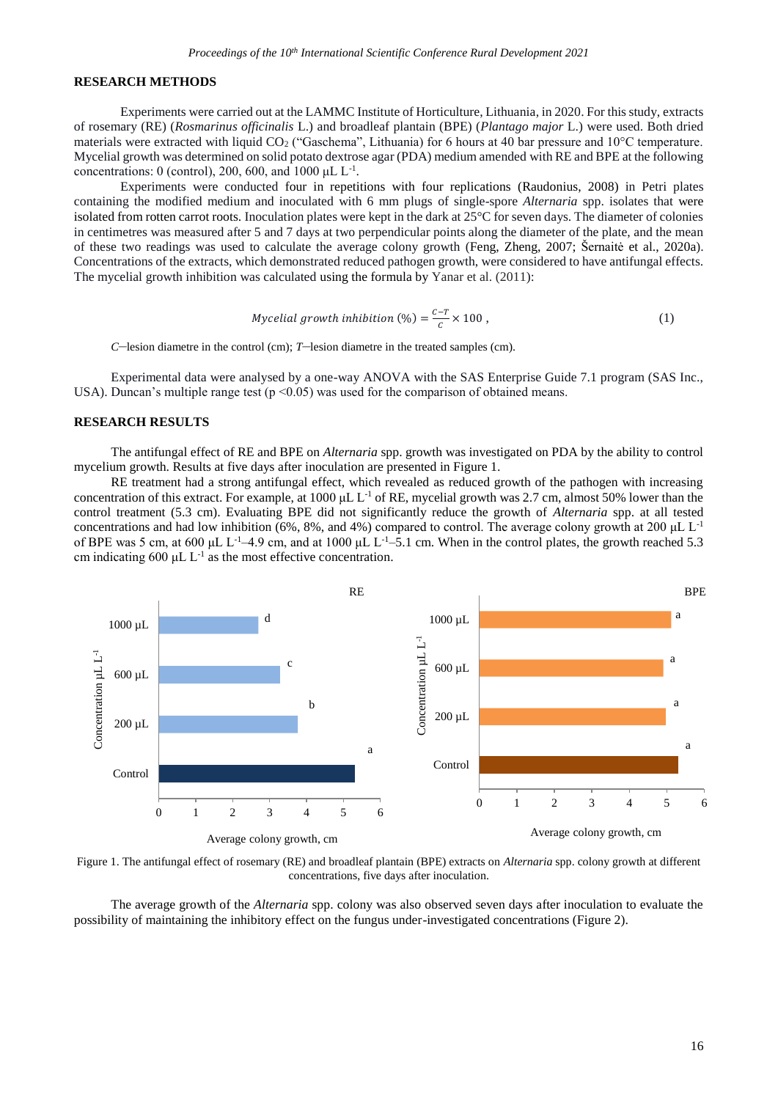#### **RESEARCH METHODS**

Experiments were carried out at the LAMMC Institute of Horticulture, Lithuania, in 2020. For this study, extracts of rosemary (RE) (*Rosmarinus officinalis* L.) and broadleaf plantain (BPE) (*Plantago major* L.) were used. Both dried materials were extracted with liquid CO<sub>2</sub> ("Gaschema", Lithuania) for 6 hours at 40 bar pressure and 10°C temperature. Mycelial growth was determined on solid potato dextrose agar (PDA) medium amended with RE and BPE at the following concentrations:  $0$  (control), 200, 600, and 1000 µL L<sup>-1</sup>.

Experiments were conducted four in repetitions with four replications (Raudonius, 2008) in Petri plates containing the modified medium and inoculated with 6 mm plugs of single-spore *Alternaria* spp. isolates that were isolated from rotten carrot roots. Inoculation plates were kept in the dark at 25°C for seven days. The diameter of colonies in centimetres was measured after 5 and 7 days at two perpendicular points along the diameter of the plate, and the mean of these two readings was used to calculate the average colony growth (Feng, Zheng, 2007; Šernaitė et al., 2020a). Concentrations of the extracts, which demonstrated reduced pathogen growth, were considered to have antifungal effects. The mycelial growth inhibition was calculated using the formula by Yanar et al. (2011):

$$
Mycelial growth inhibition (\%) = \frac{c-r}{c} \times 100 ,\tag{1}
$$

*C*–lesion diametre in the control (cm); *T*–lesion diametre in the treated samples (cm).

Experimental data were analysed by a one-way ANOVA with the SAS Enterprise Guide 7.1 program (SAS Inc., USA). Duncan's multiple range test ( $p \le 0.05$ ) was used for the comparison of obtained means.

## **RESEARCH RESULTS**

The antifungal effect of RE and BPE on *Alternaria* spp. growth was investigated on PDA by the ability to control mycelium growth. Results at five days after inoculation are presented in Figure 1.

RE treatment had a strong antifungal effect, which revealed as reduced growth of the pathogen with increasing concentration of this extract. For example, at 1000 µL  $L^{-1}$  of RE, mycelial growth was 2.7 cm, almost 50% lower than the control treatment (5.3 cm). Evaluating BPE did not significantly reduce the growth of *Alternaria* spp. at all tested concentrations and had low inhibition (6%, 8%, and 4%) compared to control. The average colony growth at 200  $\mu$ L L<sup>-1</sup> of BPE was 5 cm, at 600 μL L<sup>-1</sup>-4.9 cm, and at 1000 μL L<sup>-1</sup>-5.1 cm. When in the control plates, the growth reached 5.3 cm indicating  $600 \mu L L^{-1}$  as the most effective concentration.



Figure 1. The antifungal effect of rosemary (RE) and broadleaf plantain (BPE) extracts on *Alternaria* spp. colony growth at different concentrations, five days after inoculation.

The average growth of the *Alternaria* spp. colony was also observed seven days after inoculation to evaluate the possibility of maintaining the inhibitory effect on the fungus under-investigated concentrations (Figure 2).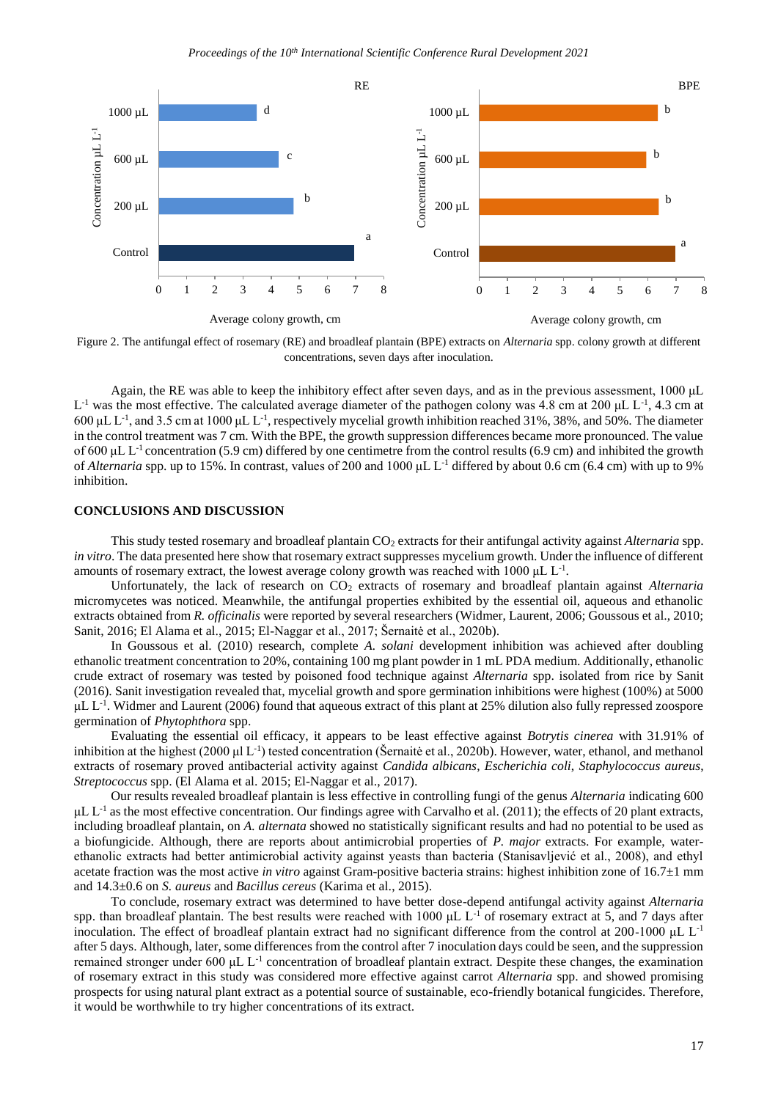

Figure 2. The antifungal effect of rosemary (RE) and broadleaf plantain (BPE) extracts on *Alternaria* spp. colony growth at different concentrations, seven days after inoculation.

Again, the RE was able to keep the inhibitory effect after seven days, and as in the previous assessment, 1000 μL  $L^{-1}$  was the most effective. The calculated average diameter of the pathogen colony was 4.8 cm at 200 µL  $L^{-1}$ , 4.3 cm at  $600 \mu L L^{-1}$ , and 3.5 cm at 1000  $\mu L L^{-1}$ , respectively mycelial growth inhibition reached 31%, 38%, and 50%. The diameter in the control treatment was 7 cm. With the BPE, the growth suppression differences became more pronounced. The value of 600 μL L-1 concentration (5.9 cm) differed by one centimetre from the control results (6.9 cm) and inhibited the growth of *Alternaria* spp. up to 15%. In contrast, values of 200 and 1000 μL L-1 differed by about 0.6 cm (6.4 cm) with up to 9% inhibition.

### **CONCLUSIONS AND DISCUSSION**

This study tested rosemary and broadleaf plantain CO<sub>2</sub> extracts for their antifungal activity against *Alternaria* spp. *in vitro*. The data presented here show that rosemary extract suppresses mycelium growth. Under the influence of different amounts of rosemary extract, the lowest average colony growth was reached with 1000  $\mu$ L L<sup>-1</sup>.

Unfortunately, the lack of research on CO<sup>2</sup> extracts of rosemary and broadleaf plantain against *Alternaria* micromycetes was noticed. Meanwhile, the antifungal properties exhibited by the essential oil, aqueous and ethanolic extracts obtained from *R. officinalis* were reported by several researchers (Widmer, Laurent, 2006; Goussous et al., 2010; Sanit, 2016; El Alama et al., 2015; El-Naggar et al., 2017; Šernaitė et al., 2020b).

In Goussous et al. (2010) research, complete *A. solani* development inhibition was achieved after doubling ethanolic treatment concentration to 20%, containing 100 mg plant powder in 1 mL PDA medium. Additionally, ethanolic crude extract of rosemary was tested by poisoned food technique against *Alternaria* spp. isolated from rice by Sanit (2016). Sanit investigation revealed that, mycelial growth and spore germination inhibitions were highest (100%) at 5000  $\mu$ L L<sup>-1</sup>. Widmer and Laurent (2006) found that aqueous extract of this plant at 25% dilution also fully repressed zoospore germination of *Phytophthora* spp.

Evaluating the essential oil efficacy, it appears to be least effective against *Botrytis cinerea* with 31.91% of inhibition at the highest (2000 µl  $L^{-1}$ ) tested concentration (Šernaitė et al., 2020b). However, water, ethanol, and methanol extracts of rosemary proved antibacterial activity against *Candida albicans*, *Escherichia coli*, *Staphylococcus aureus*, *Streptococcus* spp. (El Alama et al. 2015; El-Naggar et al., 2017).

Our results revealed broadleaf plantain is less effective in controlling fungi of the genus *Alternaria* indicating 600  $\mu$ L L<sup>-1</sup> as the most effective concentration. Our findings agree with Carvalho et al. (2011); the effects of 20 plant extracts, including broadleaf plantain, on *A. alternata* showed no statistically significant results and had no potential to be used as a biofungicide. Although, there are reports about antimicrobial properties of *P. major* extracts. For example, waterethanolic extracts had better antimicrobial activity against yeasts than bacteria (Stanisavljević et al., 2008), and ethyl acetate fraction was the most active *in vitro* against Gram-positive bacteria strains: highest inhibition zone of 16.7±1 mm and 14.3±0.6 on *S. aureus* and *Bacillus cereus* (Karima et al., 2015).

To conclude, rosemary extract was determined to have better dose-depend antifungal activity against *Alternaria* spp. than broadleaf plantain. The best results were reached with 1000 μL L-1 of rosemary extract at 5, and 7 days after inoculation. The effect of broadleaf plantain extract had no significant difference from the control at 200-1000  $\mu$ L L<sup>-1</sup> after 5 days. Although, later, some differences from the control after 7 inoculation days could be seen, and the suppression remained stronger under 600  $\mu$ L L<sup>-1</sup> concentration of broadleaf plantain extract. Despite these changes, the examination of rosemary extract in this study was considered more effective against carrot *Alternaria* spp. and showed promising prospects for using natural plant extract as a potential source of sustainable, eco-friendly botanical fungicides. Therefore, it would be worthwhile to try higher concentrations of its extract.